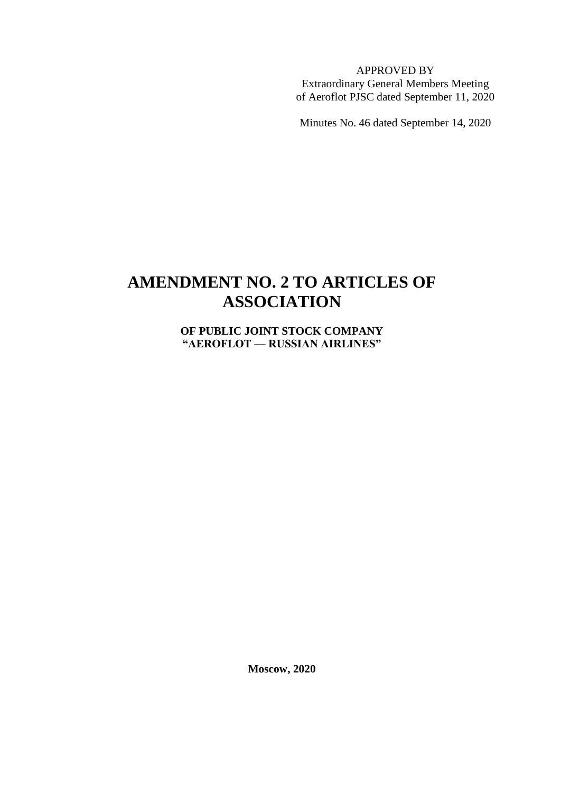APPROVED BY Extraordinary General Members Meeting of Aeroflot PJSC dated September 11, 2020

Minutes No. 46 dated September 14, 2020

## **AMENDMENT NO. 2 TO ARTICLES OF ASSOCIATION**

**OF PUBLIC JOINT STOCK COMPANY "AEROFLOT — RUSSIAN AIRLINES"**

**Moscow, 2020**